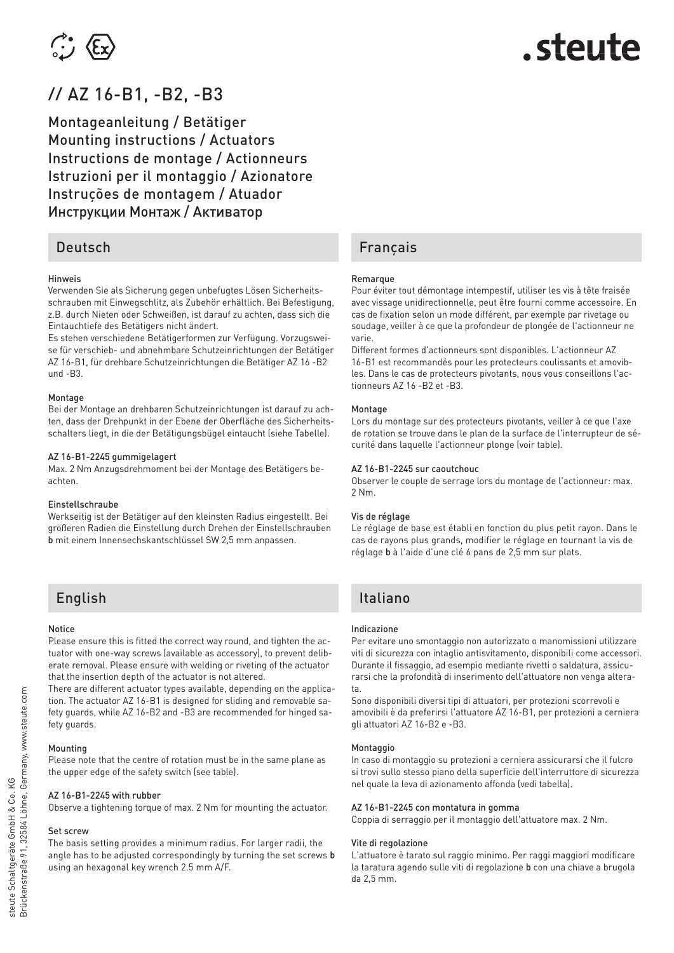

## // AZ 16-B1, -B2, -B3

Montageanleitung / Betätiger Mounting instructions / Actuators Instructions de montage / Actionneurs Istruzioni per il montaggio / Azionatore Instruções de montagem / Atuador Инструкции Монтаж / Aктиватор

### Deutsch

#### **Hinweis**

Verwenden Sie als Sicherung gegen unbefugtes Lösen Sicherheitsschrauben mit Einwegschlitz, als Zubehör erhältlich. Bei Befestigung, z.B. durch Nieten oder Schweißen, ist darauf zu achten, dass sich die Eintauchtiefe des Betätigers nicht ändert.

Es stehen verschiedene Betätigerformen zur Verfügung. Vorzugsweise für verschieb- und abnehmbare Schutzeinrichtungen der Betätiger AZ 16-B1, für drehbare Schutzeinrichtungen die Betätiger AZ 16 -B2 und -B3.

#### Montage

Bei der Montage an drehbaren Schutzeinrichtungen ist darauf zu achten, dass der Drehpunkt in der Ebene der Oberfläche des Sicherheitsschalters liegt, in die der Betätigungsbügel eintaucht (siehe Tabelle).

#### AZ 16-B1-2245 gummigelagert

Max. 2 Nm Anzugsdrehmoment bei der Montage des Betätigers beachten.

#### Einstellschraube

Werkseitig ist der Betätiger auf den kleinsten Radius eingestellt. Bei größeren Radien die Einstellung durch Drehen der Einstellschrauben b mit einem Innensechskantschlüssel SW 2,5 mm anpassen.

### English

#### Notice

Please ensure this is fitted the correct way round, and tighten the actuator with one-way screws (available as accessory), to prevent deliberate removal. Please ensure with welding or riveting of the actuator that the insertion depth of the actuator is not altered.

There are different actuator types available, depending on the application. The actuator AZ 16-B1 is designed for sliding and removable safety guards, while AZ 16-B2 and -B3 are recommended for hinged safety guards.

#### Mounting

Please note that the centre of rotation must be in the same plane as the upper edge of the safety switch (see table).

#### AZ 16-B1-2245 with rubber

Observe a tightening torque of max. 2 Nm for mounting the actuator.

#### Set screw

The basis setting provides a minimum radius. For larger radii, the angle has to be adjusted correspondingly by turning the set screws b using an hexagonal key wrench 2.5 mm A/F.

### Français

#### Remarque

Pour éviter tout démontage intempestif, utiliser les vis à tête fraisée avec vissage unidirectionnelle, peut être fourni comme accessoire. En cas de fixation selon un mode différent, par exemple par rivetage ou soudage, veiller à ce que la profondeur de plongée de l'actionneur ne varie.

Different formes d'actionneurs sont disponibles. L'actionneur AZ 16-B1 est recommandés pour les protecteurs coulissants et amovibles. Dans le cas de protecteurs pivotants, nous vous conseillons l'actionneurs AZ 16 -B2 et -B3.

#### Montage

Lors du montage sur des protecteurs pivotants, veiller à ce que l'axe de rotation se trouve dans le plan de la surface de l'interrupteur de sécurité dans laquelle l'actionneur plonge (voir table).

#### AZ 16-B1-2245 sur caoutchouc

Observer le couple de serrage lors du montage de l'actionneur: max. 2 Nm.

#### Vis de réglage

Le réglage de base est établi en fonction du plus petit rayon. Dans le cas de rayons plus grands, modifier le réglage en tournant la vis de réglage b à l'aide d'une clé 6 pans de 2,5 mm sur plats.

### Italiano

#### Indicazione

Per evitare uno smontaggio non autorizzato o manomissioni utilizzare viti di sicurezza con intaglio antisvitamento, disponibili come accessori. Durante il fissaggio, ad esempio mediante rivetti o saldatura, assicurarsi che la profondità di inserimento dell'attuatore non venga alterata.

Sono disponibili diversi tipi di attuatori, per protezioni scorrevoli e amovibili è da preferirsi l'attuatore AZ 16-B1, per protezioni a cerniera gli attuatori AZ 16-B2 e -B3.

#### Montaggio

In caso di montaggio su protezioni a cerniera assicurarsi che il fulcro si trovi sullo stesso piano della superficie dell'interruttore di sicurezza nel quale la leva di azionamento affonda (vedi tabella).

#### AZ 16-B1-2245 con montatura in gomma

Coppia di serraggio per il montaggio dell'attuatore max. 2 Nm.

#### Vite di regolazione

L'attuatore è tarato sul raggio minimo. Per raggi maggiori modificare la taratura agendo sulle viti di regolazione b con una chiave a brugola da 2,5 mm.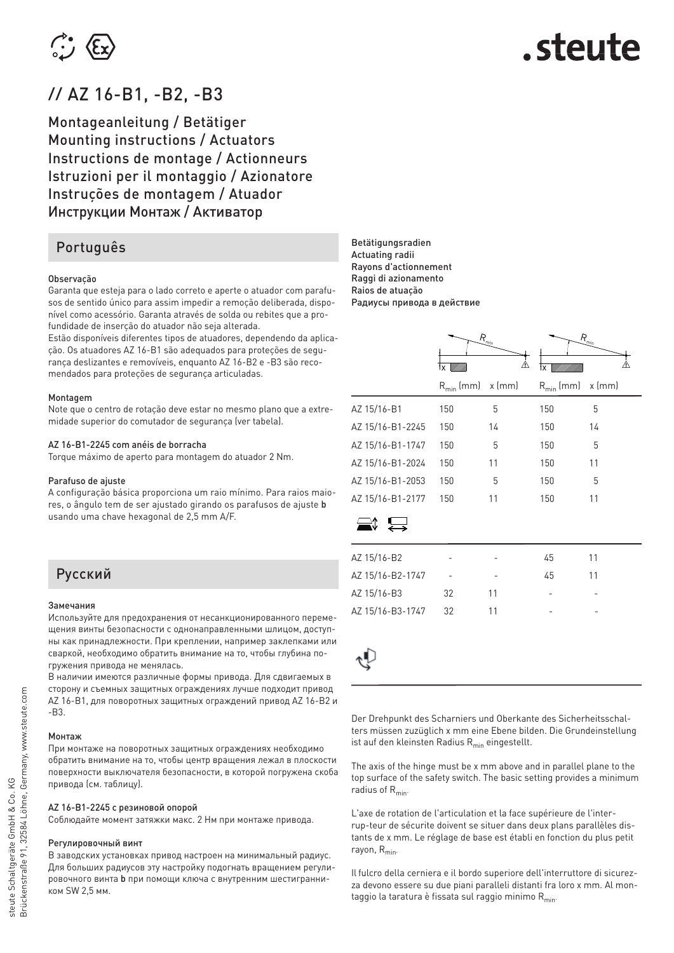

## // AZ 16-B1, -B2, -B3

Montageanleitung / Betätiger Mounting instructions / Actuators Instructions de montage / Actionneurs Istruzioni per il montaggio / Azionatore Instruções de montagem / Atuador Инструкции Монтаж / Aктиватор

### Português

#### Observação

Garanta que esteja para o lado correto e aperte o atuador com parafusos de sentido único para assim impedir a remoção deliberada, disponível como acessório. Garanta através de solda ou rebites que a profundidade de inserção do atuador não seja alterada.

Estão disponíveis diferentes tipos de atuadores, dependendo da aplicação. Os atuadores AZ 16-B1 são adequados para proteções de segurança deslizantes e removíveis, enquanto AZ 16-B2 e -B3 são recomendados para proteções de segurança articuladas.

#### Montagem

Note que o centro de rotação deve estar no mesmo plano que a extremidade superior do comutador de segurança (ver tabela).

#### AZ 16-B1-2245 com anéis de borracha

Torque máximo de aperto para montagem do atuador 2 Nm.

#### Parafuso de ajuste

A configuração básica proporciona um raio mínimo. Para raios maiores, o ângulo tem de ser ajustado girando os parafusos de ajuste b usando uma chave hexagonal de 2,5 mm A/F.

### Русский

#### Замечания

Используйте для предохранения от несанкционированного перемещения винты безопасности с однонаправленными шлицом, доступны как принадлежности. При креплении, например заклепками или сваркой, необходимо обратить внимание на то, чтобы глубина погружения привода не менялась.

В наличии имеются различные формы привода. Для сдвигаемых в сторону и съемных защитных ограждениях лучше подходит привод AZ 16-B1, для поворотных защитных ограждений привод AZ 16-B2 и -B3.

#### Mонтаж

При монтаже на поворотных защитных ограждениях необходимо обратить внимание на то, чтобы центр вращения лежал в плоскости поверхности выключателя безопасности, в которой погружена скоба привода (см. таблицу).

#### AZ 16-B1-2245 с резиновой опорой

Соблюдайте момент затяжки макс. 2 Нм при монтаже привода.

#### Регулировочный винт

В заводских установках привод настроен на минимальный радиус. Для больших радиусов эту настройку подогнать вращением регулировочного винта b при помощи ключа с внутренним шестигранником SW 2,5 мм.

Betätigungsradien Actuating radii Rayons d'actionnement Raggi di azionamento Raios de atuação Радиусы привода в действие

|                  | $R_{\rm min}$<br>⚠<br>1x     |    | $R_{\rm min}$<br>⚠<br>łx |          |
|------------------|------------------------------|----|--------------------------|----------|
|                  | $R_{min}$ (mm) $\times$ (mm) |    | $R_{min}$ (mm)           | $x$ (mm) |
| AZ 15/16-B1      | 150                          | 5  | 150                      | 5        |
| AZ 15/16-B1-2245 | 150                          | 14 | 150                      | 14       |
| AZ 15/16-B1-1747 | 150                          | 5  | 150                      | 5        |
| AZ 15/16-B1-2024 | 150                          | 11 | 150                      | 11       |
| AZ 15/16-B1-2053 | 150                          | 5  | 150                      | 5        |
| AZ 15/16-B1-2177 | 150                          | 11 | 150                      | 11       |
|                  |                              |    |                          |          |
| AZ 15/16-B2      |                              |    | 45                       | 11       |
| AZ 15/16-B2-1747 |                              |    | 45                       | 11       |
| AZ 15/16-B3      | 32                           | 11 |                          |          |
| AZ 15/16-B3-1747 | 32                           | 11 |                          |          |

Der Drehpunkt des Scharniers und Oberkante des Sicherheitsschalters müssen zuzüglich x mm eine Ebene bilden. Die Grundeinstellung ist auf den kleinsten Radius  $R_{min}$  eingestellt.

The axis of the hinge must be x mm above and in parallel plane to the top surface of the safety switch. The basic setting provides a minimum radius of  $R_{min}$ 

L'axe de rotation de l'articulation et la face supérieure de l'interrup-teur de sécurite doivent se situer dans deux plans parallèles distants de x mm. Le réglage de base est établi en fonction du plus petit rayon,  $R_{\text{min}}$ 

Il fulcro della cerniera e il bordo superiore dell'interruttore di sicurezza devono essere su due piani paralleli distanti fra loro x mm. Al montaggio la taratura è fissata sul raggio minimo  $R_{min}$ .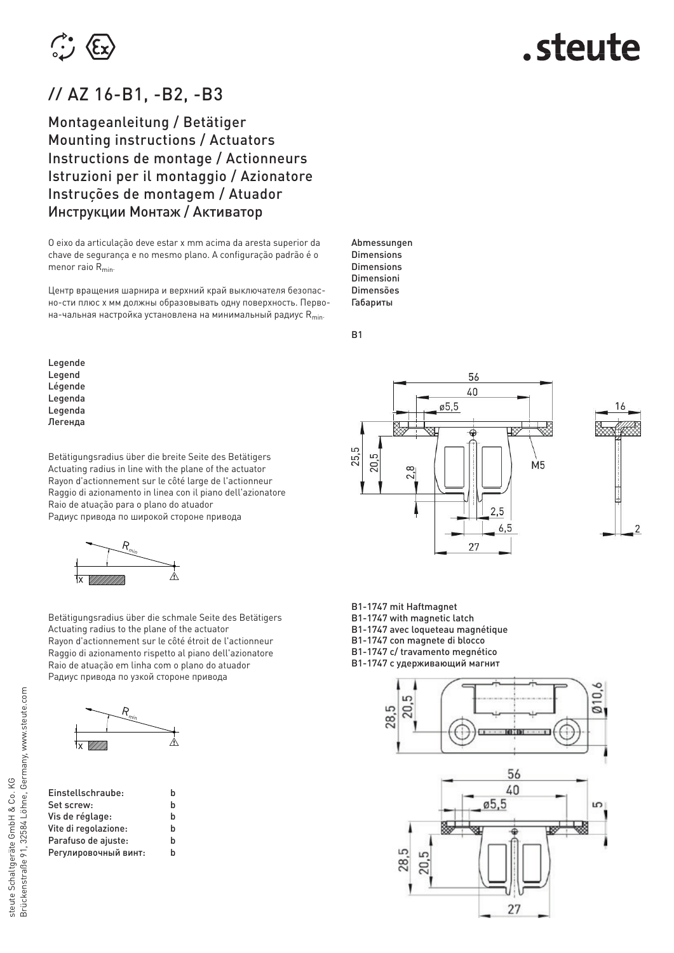

# steute.

## // AZ 16-B1, -B2, -B3

Montageanleitung / Betätiger Mounting instructions / Actuators Instructions de montage / Actionneurs Istruzioni per il montaggio / Azionatore Instruções de montagem / Atuador Инструкции Монтаж / Aктиватор

O eixo da articulação deve estar x mm acima da aresta superior da chave de segurança e no mesmo plano. A configuração padrão é o menor raio  $R_{min}$ .

Центр вращения шарнира и верхний край выключателя безопасно-сти плюс x мм должны образовывать одну поверхность. Первона-чальная настройка установлена на минимальный радиус  $R_{min}$ .

Legende Legend Légende Legenda Legenda Легенда

Betätigungsradius über die breite Seite des Betätigers Actuating radius in line with the plane of the actuator Rayon d'actionnement sur le côté large de l'actionneur Raggio di azionamento in linea con il piano dell'azionatore Raio de atuação para o plano do atuador Радиус привода по широкой стороне привода



Betätigungsradius über die schmale Seite des Betätigers Actuating radius to the plane of the actuator Rayon d'actionnement sur le côté étroit de l'actionneur Raggio di azionamento rispetto al piano dell'azionatore Raio de atuação em linha com o plano do atuador Радиус привода по узкой стороне привода



| Einstellschraube:    | h |
|----------------------|---|
| Set screw:           | h |
| Vis de réglage:      | h |
| Vite di regolazione: | h |
| Parafuso de ajuste:  | h |
| Регулировочный винт: | h |

56 40  $\varnothing$ 5,5 25.5 20,5  $\dot{M}$ 2,8 2,5  $6.5$ 27



B1-1747 mit Haftmagnet

B1-1747 with magnetic latch B1-1747 avec loqueteau magnétique

B1-1747 con magnete di blocco

B1-1747 c/ travamento megnético

B1-1747 с удерживающий магнит



Abmessungen **Dimensions** Dimensions Dimensioni Dimensões Габариты

B1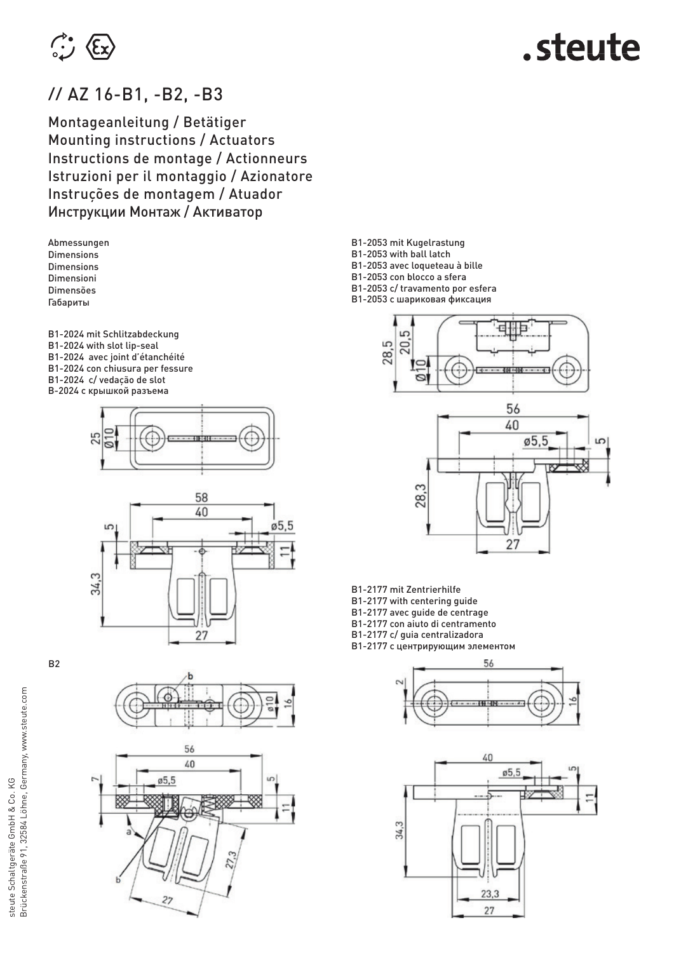

## // AZ 16-B1, -B2, -B3

Montageanleitung / Betätiger Mounting instructions / Actuators Instructions de montage / Actionneurs Istruzioni per il montaggio / Azionatore Instruções de montagem / Atuador Инструкции Монтаж / Aктиватор

Abmessungen **Dimensions** Dimensions Dimensioni Dimensões Габариты

- B1-2024 mit Schlitzabdeckung B1-2024 with slot lip-seal B1-2024 avec joint d'étanchéité B1-2024 con chiusura per fessure B1-2024 c/ vedação de slot B-2024 с крышкой разъема
	- 25



B2





- B1-2053 mit Kugelrastung
- B1-2053 with ball latch
- B1-2053 avec loqueteau à bille
- B1-2053 con blocco a sfera
- B1-2053 c/ travamento por esfera
- B1-2053 с шариковая фиксация





- B1-2177 mit Zentrierhilfe
- B1-2177 with centering guide
- B1-2177 avec guide de centrage
- B1-2177 con aiuto di centramento
- B1-2177 c/ guia centralizadora
- B1-2177 с центрирующим элементом



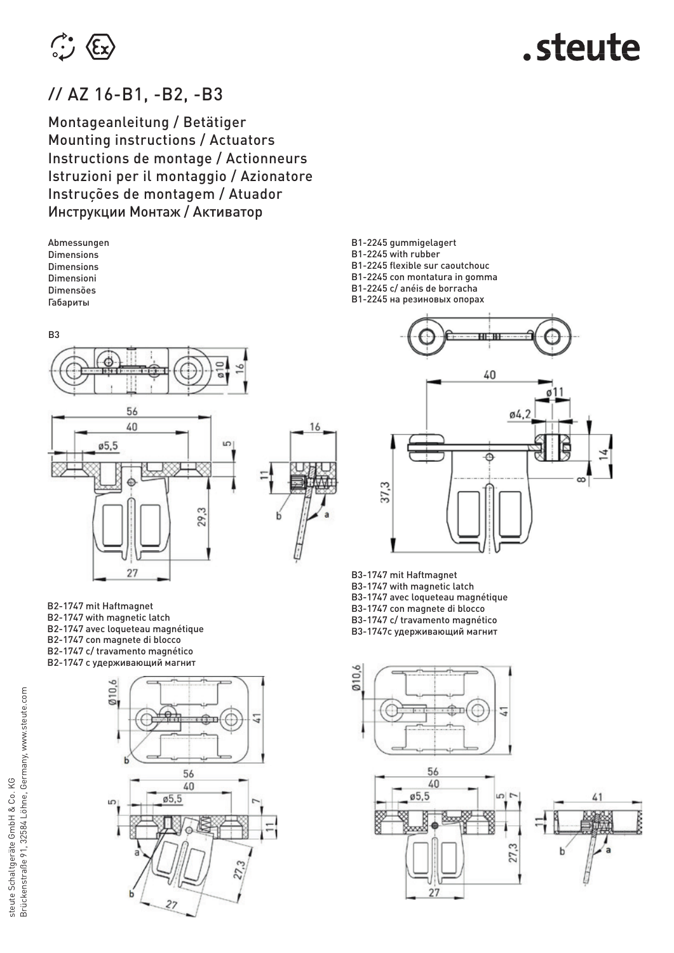

## // AZ 16-B1, -B2, -B3

Montageanleitung / Betätiger Mounting instructions / Actuators Instructions de montage / Actionneurs Istruzioni per il montaggio / Azionatore Instruções de montagem / Atuador Инструкции Монтаж / Aктиватор

Abmessungen **Dimensions** Dimensions Dimensioni Dimensões Габариты

B3



B2-1747 mit Haftmagnet B2-1747 with magnetic latch B2-1747 avec loqueteau magnétique B2-1747 con magnete di blocco B2-1747 c/ travamento magnético B2-1747 с удерживающий магнит

27



B1-2245 gummigelagert

16

- B1-2245 with rubber
- B1-2245 flexible sur caoutchouc
- B1-2245 con montatura in gomma
- B1-2245 c/ anéis de borracha
- B1-2245 на резиновых опорах



B3-1747 mit Haftmagnet

B3-1747 with magnetic latch

B3-1747 avec loqueteau magnétique

B3-1747 con magnete di blocco B3-1747 c/ travamento magnético

B3-1747с удерживающий магнит

 $0,6$ 5 5



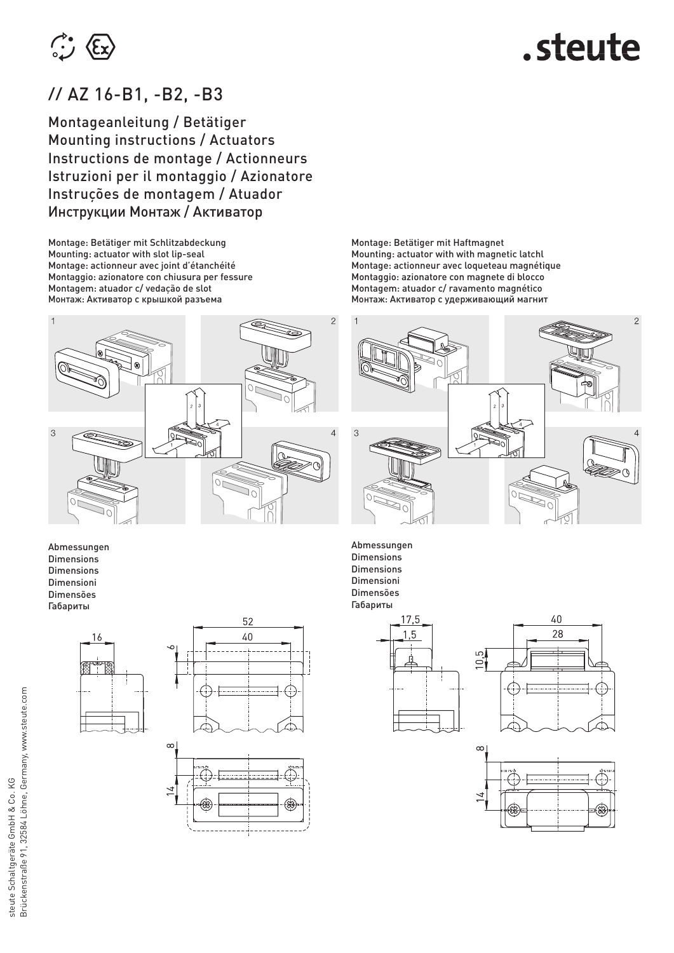

## // AZ 16-B1, -B2, -B3

Montageanleitung / Betätiger Mounting instructions / Actuators Instructions de montage / Actionneurs Istruzioni per il montaggio / Azionatore Instruções de montagem / Atuador Инструкции Монтаж / Aктиватор

Montage: Betätiger mit Schlitzabdeckung Mounting: actuator with slot lip-seal Montage: actionneur avec joint d'étanchéité Montaggio: azionatore con chiusura per fessure Montagem: atuador c/ vedação de slot Монтаж: Aктиватор с крышкой разъема



Abmessungen Dimensions Dimensions Dimensioni Dimensões Габариты







Montage: Betätiger mit Haftmagnet Mounting: actuator with with magnetic latchl Montage: actionneur avec loqueteau magnétique Montaggio: azionatore con magnete di blocco Montagem: atuador c/ ravamento magnético Монтаж: Aктиватор с удерживающий магнит



Abmessungen Dimensions Dimensions Dimensioni Dimensões Габариты





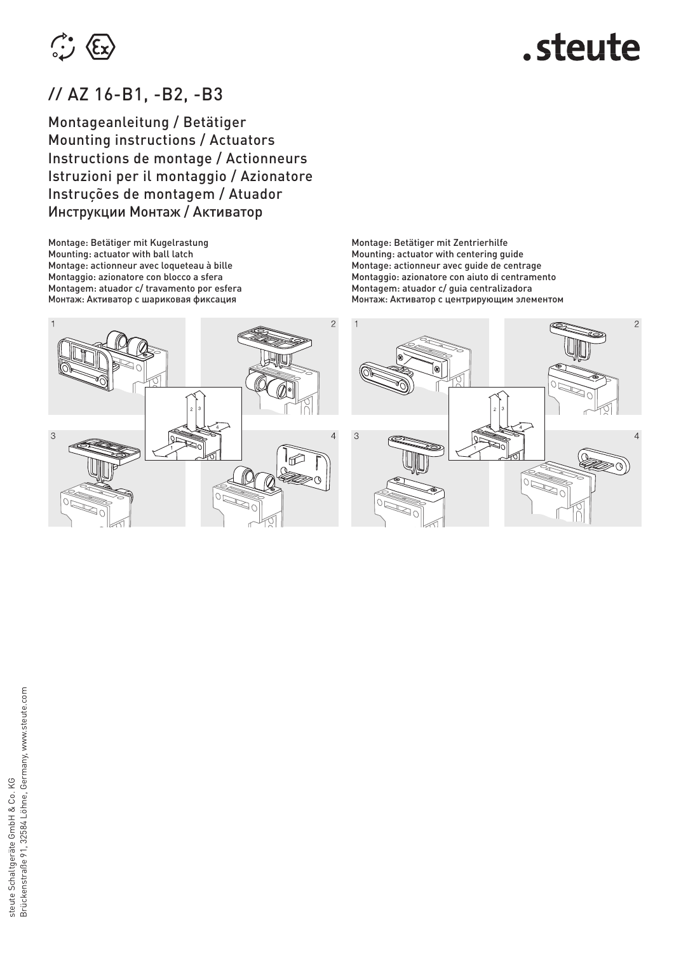

## // AZ 16-B1, -B2, -B3

Montageanleitung / Betätiger Mounting instructions / Actuators Instructions de montage / Actionneurs Istruzioni per il montaggio / Azionatore Instruções de montagem / Atuador Инструкции Монтаж / Aктиватор

Montage: Betätiger mit Kugelrastung Mounting: actuator with ball latch Montage: actionneur avec loqueteau à bille Montaggio: azionatore con blocco a sfera Montagem: atuador c/ travamento por esfera Монтаж: Aктиватор с шариковая фиксация

Montage: Betätiger mit Zentrierhilfe Mounting: actuator with centering guide Montage: actionneur avec guide de centrage Montaggio: azionatore con aiuto di centramento Montagem: atuador c/ guia centralizadora Монтаж: Aктиватор с центрирующим элементом